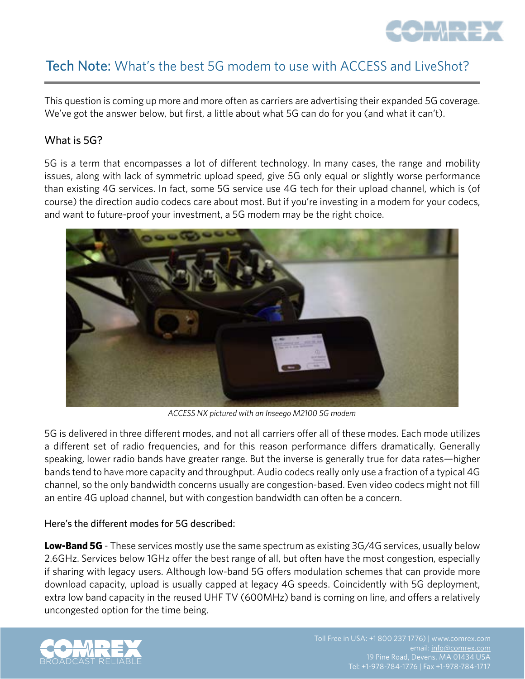

# Tech Note: What's the best 5G modem to use with ACCESS and LiveShot?

This question is coming up more and more often as carriers are advertising their expanded 5G coverage. We've got the answer below, but first, a little about what 5G can do for you (and what it can't).

## What is 5G?

5G is a term that encompasses a lot of different technology. In many cases, the range and mobility issues, along with lack of symmetric upload speed, give 5G only equal or slightly worse performance than existing 4G services. In fact, some 5G service use 4G tech for their upload channel, which is (of course) the direction audio codecs care about most. But if you're investing in a modem for your codecs, and want to future-proof your investment, a 5G modem may be the right choice.



*ACCESS NX pictured with an Inseego M2100 5G modem*

5G is delivered in three different modes, and not all carriers offer all of these modes. Each mode utilizes a different set of radio frequencies, and for this reason performance differs dramatically. Generally speaking, lower radio bands have greater range. But the inverse is generally true for data rates—higher bands tend to have more capacity and throughput. Audio codecs really only use a fraction of a typical 4G channel, so the only bandwidth concerns usually are congestion-based. Even video codecs might not fill an entire 4G upload channel, but with congestion bandwidth can often be a concern.

#### Here's the different modes for 5G described:

**Low-Band 5G** - These services mostly use the same spectrum as existing 3G/4G services, usually below 2.6GHz. Services below 1GHz offer the best range of all, but often have the most congestion, especially if sharing with legacy users. Although low-band 5G offers modulation schemes that can provide more download capacity, upload is usually capped at legacy 4G speeds. Coincidently with 5G deployment, extra low band capacity in the reused UHF TV (600MHz) band is coming on line, and offers a relatively uncongested option for the time being.

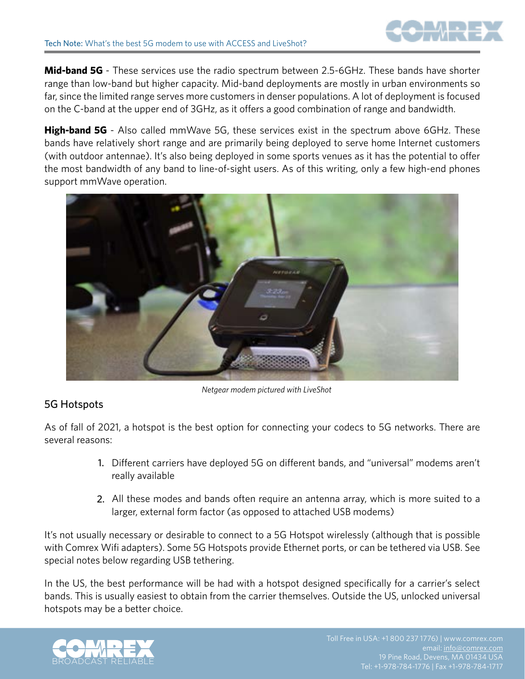

**Mid-band 5G** - These services use the radio spectrum between 2.5-6GHz. These bands have shorter range than low-band but higher capacity. Mid-band deployments are mostly in urban environments so far, since the limited range serves more customers in denser populations. A lot of deployment is focused on the C-band at the upper end of 3GHz, as it offers a good combination of range and bandwidth.

**High-band 5G** - Also called mmWave 5G, these services exist in the spectrum above 6GHz. These bands have relatively short range and are primarily being deployed to serve home Internet customers (with outdoor antennae). It's also being deployed in some sports venues as it has the potential to offer the most bandwidth of any band to line-of-sight users. As of this writing, only a few high-end phones support mmWave operation.



*Netgear modem pictured with LiveShot*

### 5G Hotspots

As of fall of 2021, a hotspot is the best option for connecting your codecs to 5G networks. There are several reasons:

- 1. Different carriers have deployed 5G on different bands, and "universal" modems aren't really available
- All these modes and bands often require an antenna array, which is more suited to a 2. larger, external form factor (as opposed to attached USB modems)

It's not usually necessary or desirable to connect to a 5G Hotspot wirelessly (although that is possible with Comrex Wifi adapters). Some 5G Hotspots provide Ethernet ports, or can be tethered via USB. See special notes below regarding USB tethering.

In the US, the best performance will be had with a hotspot designed specifically for a carrier's select bands. This is usually easiest to obtain from the carrier themselves. Outside the US, unlocked universal hotspots may be a better choice.